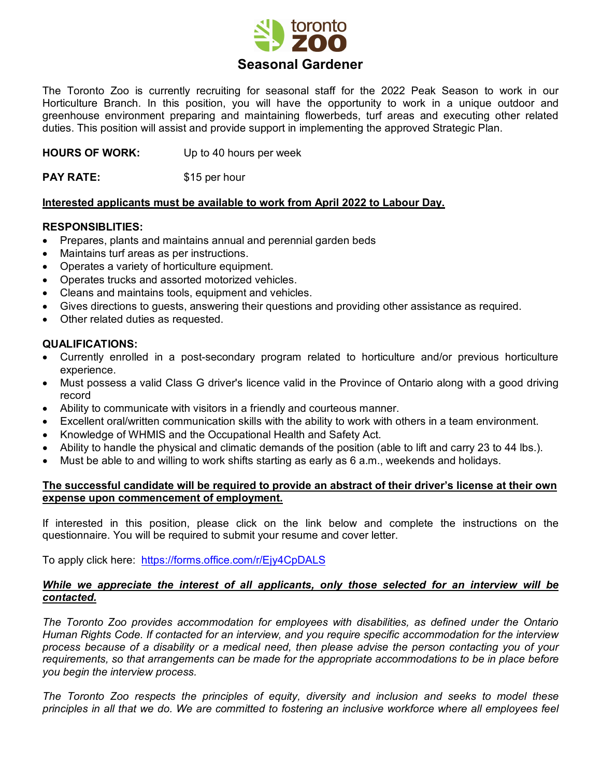

The Toronto Zoo is currently recruiting for seasonal staff for the 2022 Peak Season to work in our Horticulture Branch. In this position, you will have the opportunity to work in a unique outdoor and greenhouse environment preparing and maintaining flowerbeds, turf areas and executing other related duties. This position will assist and provide support in implementing the approved Strategic Plan.

**HOURS OF WORK:** Up to 40 hours per week

**PAY RATE:** \$15 per hour

# **Interested applicants must be available to work from April 2022 to Labour Day.**

### **RESPONSIBLITIES:**

- Prepares, plants and maintains annual and perennial garden beds
- Maintains turf areas as per instructions.
- Operates a variety of horticulture equipment.
- Operates trucks and assorted motorized vehicles.
- Cleans and maintains tools, equipment and vehicles.
- Gives directions to guests, answering their questions and providing other assistance as required.
- Other related duties as requested.

### **QUALIFICATIONS:**

- Currently enrolled in a post-secondary program related to horticulture and/or previous horticulture experience.
- Must possess a valid Class G driver's licence valid in the Province of Ontario along with a good driving record
- Ability to communicate with visitors in a friendly and courteous manner.
- Excellent oral/written communication skills with the ability to work with others in a team environment.
- Knowledge of WHMIS and the Occupational Health and Safety Act.
- Ability to handle the physical and climatic demands of the position (able to lift and carry 23 to 44 lbs.).
- Must be able to and willing to work shifts starting as early as 6 a.m., weekends and holidays.

# **The successful candidate will be required to provide an abstract of their driver's license at their own expense upon commencement of employment.**

If interested in this position, please click on the link below and complete the instructions on the questionnaire. You will be required to submit your resume and cover letter.

To apply click here: <https://forms.office.com/r/Ejy4CpDALS>

# *While we appreciate the interest of all applicants, only those selected for an interview will be contacted.*

*The Toronto Zoo provides accommodation for employees with disabilities, as defined under the Ontario Human Rights Code. If contacted for an interview, and you require specific accommodation for the interview process because of a disability or a medical need, then please advise the person contacting you of your requirements, so that arrangements can be made for the appropriate accommodations to be in place before you begin the interview process.*

*The Toronto Zoo respects the principles of equity, diversity and inclusion and seeks to model these principles in all that we do. We are committed to fostering an inclusive workforce where all employees feel*